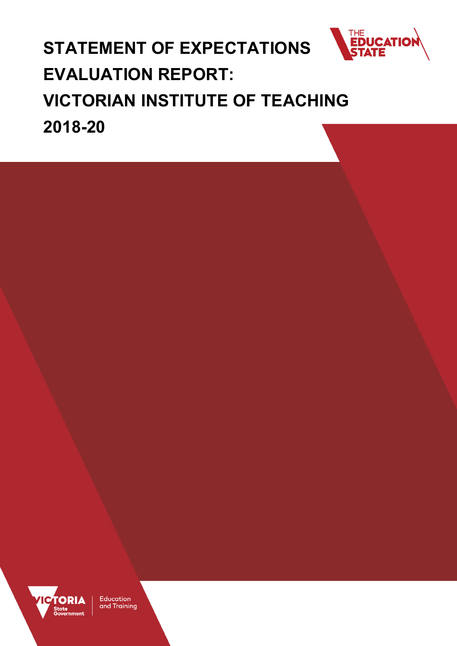

# **STATEMENT OF EXPECTATIONS EVALUATION REPORT: VICTORIAN INSTITUTE OF TEACHING 2018-20**



Education and Training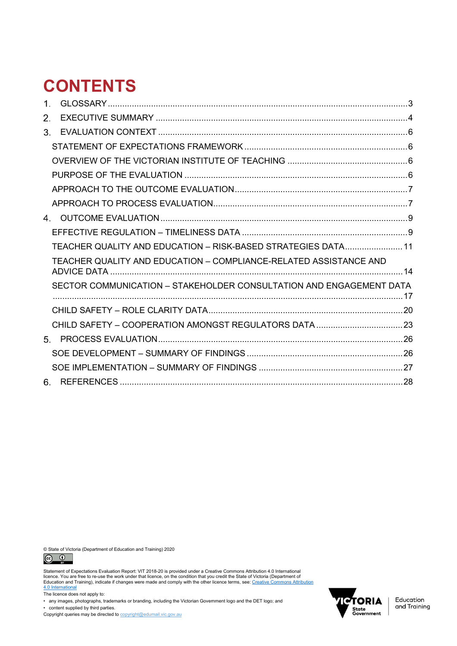# **CONTENTS**

| $1_{-}$ |                                                                     |  |
|---------|---------------------------------------------------------------------|--|
| 2.      |                                                                     |  |
| 3.      |                                                                     |  |
|         |                                                                     |  |
|         |                                                                     |  |
|         |                                                                     |  |
|         |                                                                     |  |
|         |                                                                     |  |
| 4.      |                                                                     |  |
|         |                                                                     |  |
|         | TEACHER QUALITY AND EDUCATION - RISK-BASED STRATEGIES DATA 11       |  |
|         | TEACHER QUALITY AND EDUCATION - COMPLIANCE-RELATED ASSISTANCE AND   |  |
|         | SECTOR COMMUNICATION - STAKEHOLDER CONSULTATION AND ENGAGEMENT DATA |  |
|         |                                                                     |  |
|         |                                                                     |  |
| 5.      |                                                                     |  |
|         |                                                                     |  |
|         |                                                                     |  |
| 6. -    |                                                                     |  |

© State of Victoria (Department of Education and Training) 2020<br>  $\bigodot_{\text{av}}$ 



Statement of Expectations Evaluation Report: VIT 2018-20 is provided under a Creative Commons Attribution 4.0 International<br>licence. You are free to re-use the work under that licence, on the condition that you credit the [4.0 International](https://creativecommons.org/licenses/by/4.0/)

The licence does not apply to:

• any images, photographs, trademarks or branding, including the Victorian Government logo and the DET logo; and • content supplied by third parties.

Copyright queries may be directed to **copyright@edumail.vic.gov.au** 

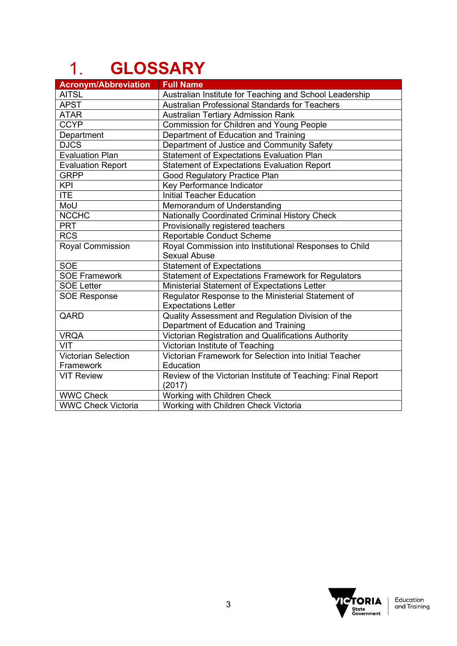# <span id="page-2-0"></span>**GLOSSARY**

| <b>Acronym/Abbreviation</b> | <b>Full Name</b>                                            |  |  |
|-----------------------------|-------------------------------------------------------------|--|--|
| <b>AITSL</b>                | Australian Institute for Teaching and School Leadership     |  |  |
| <b>APST</b>                 | Australian Professional Standards for Teachers              |  |  |
| <b>ATAR</b>                 | <b>Australian Tertiary Admission Rank</b>                   |  |  |
| <b>CCYP</b>                 | Commission for Children and Young People                    |  |  |
| Department                  | Department of Education and Training                        |  |  |
| <b>DJCS</b>                 | Department of Justice and Community Safety                  |  |  |
| <b>Evaluation Plan</b>      | <b>Statement of Expectations Evaluation Plan</b>            |  |  |
| <b>Evaluation Report</b>    | <b>Statement of Expectations Evaluation Report</b>          |  |  |
| <b>GRPP</b>                 | Good Regulatory Practice Plan                               |  |  |
| <b>KPI</b>                  | Key Performance Indicator                                   |  |  |
| <b>ITE</b>                  | <b>Initial Teacher Education</b>                            |  |  |
| MoU                         | Memorandum of Understanding                                 |  |  |
| <b>NCCHC</b>                | <b>Nationally Coordinated Criminal History Check</b>        |  |  |
| <b>PRT</b>                  | Provisionally registered teachers                           |  |  |
| <b>RCS</b>                  | <b>Reportable Conduct Scheme</b>                            |  |  |
| <b>Royal Commission</b>     | Royal Commission into Institutional Responses to Child      |  |  |
|                             | <b>Sexual Abuse</b>                                         |  |  |
| <b>SOE</b>                  | <b>Statement of Expectations</b>                            |  |  |
| <b>SOE Framework</b>        | <b>Statement of Expectations Framework for Regulators</b>   |  |  |
| <b>SOE Letter</b>           | Ministerial Statement of Expectations Letter                |  |  |
| <b>SOE Response</b>         | Regulator Response to the Ministerial Statement of          |  |  |
|                             | <b>Expectations Letter</b>                                  |  |  |
| QARD                        | Quality Assessment and Regulation Division of the           |  |  |
|                             | Department of Education and Training                        |  |  |
| <b>VRQA</b>                 | Victorian Registration and Qualifications Authority         |  |  |
| VIT                         | Victorian Institute of Teaching                             |  |  |
| <b>Victorian Selection</b>  | Victorian Framework for Selection into Initial Teacher      |  |  |
| Framework                   | Education                                                   |  |  |
| <b>VIT Review</b>           | Review of the Victorian Institute of Teaching: Final Report |  |  |
|                             | (2017)                                                      |  |  |
| <b>WWC Check</b>            | Working with Children Check                                 |  |  |
| <b>WWC Check Victoria</b>   | Working with Children Check Victoria                        |  |  |

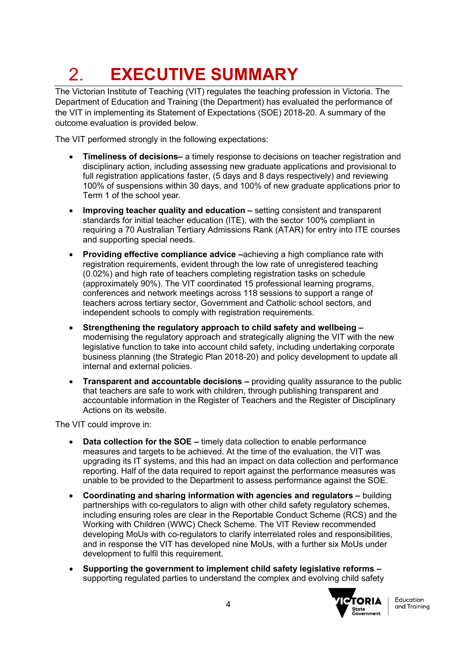# <span id="page-3-0"></span>**EXECUTIVE SUMMARY**  $2<sub>1</sub>$

The Victorian Institute of Teaching (VIT) regulates the teaching profession in Victoria. The Department of Education and Training (the Department) has evaluated the performance of the VIT in implementing its Statement of Expectations (SOE) 2018-20. A summary of the outcome evaluation is provided below.

The VIT performed strongly in the following expectations:

- **Timeliness of decisions–** a timely response to decisions on teacher registration and disciplinary action, including assessing new graduate applications and provisional to full registration applications faster, (5 days and 8 days respectively) and reviewing 100% of suspensions within 30 days, and 100% of new graduate applications prior to Term 1 of the school year.
- **Improving teacher quality and education –** setting consistent and transparent standards for initial teacher education (ITE), with the sector 100% compliant in requiring a 70 Australian Tertiary Admissions Rank (ATAR) for entry into ITE courses and supporting special needs.
- **Providing effective compliance advice –**achieving a high compliance rate with registration requirements, evident through the low rate of unregistered teaching (0.02%) and high rate of teachers completing registration tasks on schedule (approximately 90%). The VIT coordinated 15 professional learning programs, conferences and network meetings across 118 sessions to support a range of teachers across tertiary sector, Government and Catholic school sectors, and independent schools to comply with registration requirements.
- **Strengthening the regulatory approach to child safety and wellbeing –** modernising the regulatory approach and strategically aligning the VIT with the new legislative function to take into account child safety, including undertaking corporate business planning (the Strategic Plan 2018-20) and policy development to update all internal and external policies.
- **Transparent and accountable decisions –** providing quality assurance to the public that teachers are safe to work with children, through publishing transparent and accountable information in the Register of Teachers and the Register of Disciplinary Actions on its website.

The VIT could improve in:

- **Data collection for the SOE –** timely data collection to enable performance measures and targets to be achieved. At the time of the evaluation, the VIT was upgrading its IT systems, and this had an impact on data collection and performance reporting. Half of the data required to report against the performance measures was unable to be provided to the Department to assess performance against the SOE.
- **Coordinating and sharing information with agencies and regulators –** building partnerships with co-regulators to align with other child safety regulatory schemes, including ensuring roles are clear in the Reportable Conduct Scheme (RCS) and the Working with Children (WWC) Check Scheme. The VIT Review recommended developing MoUs with co-regulators to clarify interrelated roles and responsibilities, and in response the VIT has developed nine MoUs, with a further six MoUs under development to fulfil this requirement.
- **Supporting the government to implement child safety legislative reforms –** supporting regulated parties to understand the complex and evolving child safety

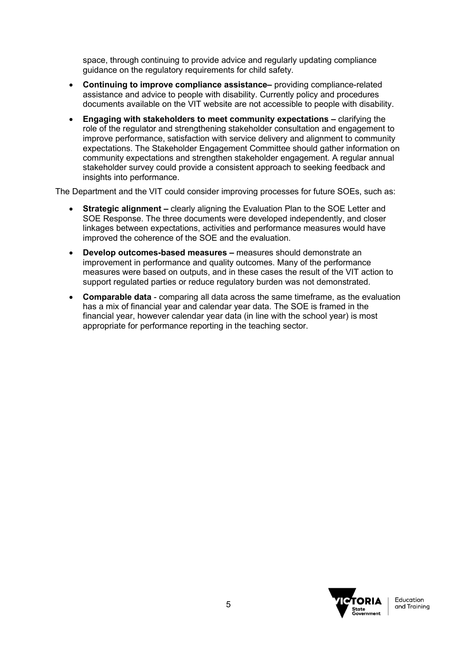space, through continuing to provide advice and regularly updating compliance guidance on the regulatory requirements for child safety.

- **Continuing to improve compliance assistance–** providing compliance-related assistance and advice to people with disability. Currently policy and procedures documents available on the VIT website are not accessible to people with disability.
- **Engaging with stakeholders to meet community expectations –** clarifying the role of the regulator and strengthening stakeholder consultation and engagement to improve performance, satisfaction with service delivery and alignment to community expectations. The Stakeholder Engagement Committee should gather information on community expectations and strengthen stakeholder engagement. A regular annual stakeholder survey could provide a consistent approach to seeking feedback and insights into performance.

The Department and the VIT could consider improving processes for future SOEs, such as:

- **Strategic alignment –** clearly aligning the Evaluation Plan to the SOE Letter and SOE Response. The three documents were developed independently, and closer linkages between expectations, activities and performance measures would have improved the coherence of the SOE and the evaluation.
- **Develop outcomes-based measures –** measures should demonstrate an improvement in performance and quality outcomes. Many of the performance measures were based on outputs, and in these cases the result of the VIT action to support regulated parties or reduce regulatory burden was not demonstrated.
- **Comparable data** comparing all data across the same timeframe, as the evaluation has a mix of financial year and calendar year data. The SOE is framed in the financial year, however calendar year data (in line with the school year) is most appropriate for performance reporting in the teaching sector.

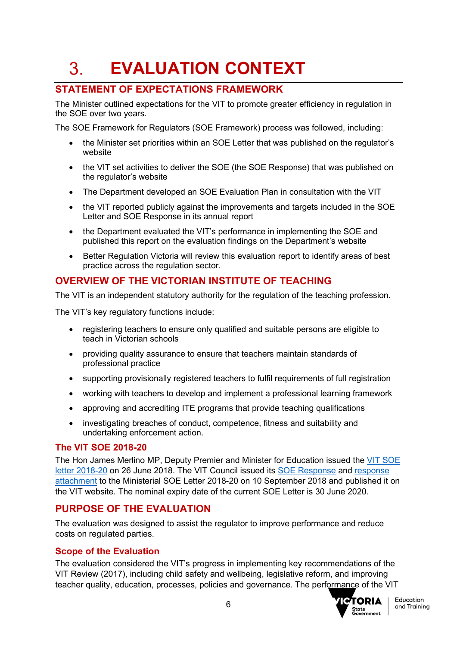### <span id="page-5-0"></span>3. **EVALUATION CONTEXT**

# <span id="page-5-1"></span>**STATEMENT OF EXPECTATIONS FRAMEWORK**

The Minister outlined expectations for the VIT to promote greater efficiency in regulation in the SOE over two years.

The SOE Framework for Regulators (SOE Framework) process was followed, including:

- the Minister set priorities within an SOE Letter that was published on the regulator's website
- the VIT set activities to deliver the SOE (the SOE Response) that was published on the regulator's website
- The Department developed an SOE Evaluation Plan in consultation with the VIT
- the VIT reported publicly against the improvements and targets included in the SOE Letter and SOE Response in its annual report
- the Department evaluated the VIT's performance in implementing the SOE and published this report on the evaluation findings on the Department's website
- Better Regulation Victoria will review this evaluation report to identify areas of best practice across the regulation sector.

# <span id="page-5-2"></span>**OVERVIEW OF THE VICTORIAN INSTITUTE OF TEACHING**

The VIT is an independent statutory authority for the regulation of the teaching profession.

The VIT's key regulatory functions include:

- registering teachers to ensure only qualified and suitable persons are eligible to teach in Victorian schools
- providing quality assurance to ensure that teachers maintain standards of professional practice
- supporting provisionally registered teachers to fulfil requirements of full registration
- working with teachers to develop and implement a professional learning framework
- approving and accrediting ITE programs that provide teaching qualifications
- investigating breaches of conduct, competence, fitness and suitability and undertaking enforcement action.

#### **The VIT SOE 2018-20**

The Hon James Merlino MP, Deputy Premier and Minister for Education issued the [VIT SOE](https://www.vit.vic.edu.au/__data/assets/pdf_file/0007/77119/Merlino-MP-VIT-SoE-1.07.2018-to-30.06.2020.pdf)  [letter 2018-20](https://www.vit.vic.edu.au/__data/assets/pdf_file/0007/77119/Merlino-MP-VIT-SoE-1.07.2018-to-30.06.2020.pdf) on 26 June 2018. The VIT Council issued its [SOE Response](https://www.vit.vic.edu.au/__data/assets/pdf_file/0017/77120/VIT-SOE-Response-to-Minister-August-2018.pdf) and [response](https://www.vit.vic.edu.au/__data/assets/pdf_file/0018/77121/VIT-SOE-Response-to-Minister-August-2018_Attachment.pdf)  [attachment](https://www.vit.vic.edu.au/__data/assets/pdf_file/0018/77121/VIT-SOE-Response-to-Minister-August-2018_Attachment.pdf) to the Ministerial SOE Letter 2018-20 on 10 September 2018 and published it on the VIT website. The nominal expiry date of the current SOE Letter is 30 June 2020.

# <span id="page-5-3"></span>**PURPOSE OF THE EVALUATION**

The evaluation was designed to assist the regulator to improve performance and reduce costs on regulated parties.

## **Scope of the Evaluation**

The evaluation considered the VIT's progress in implementing key recommendations of the VIT Review (2017), including child safety and wellbeing, legislative reform, and improving teacher quality, education, processes, policies and governance. The performance of the VIT

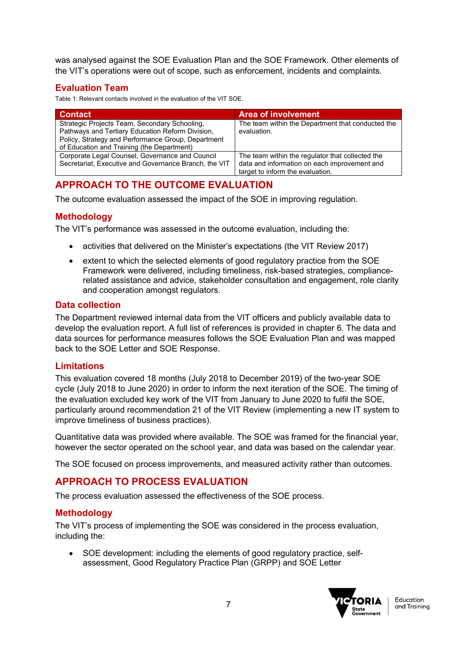was analysed against the SOE Evaluation Plan and the SOE Framework. Other elements of the VIT's operations were out of scope, such as enforcement, incidents and complaints.

## **Evaluation Team**

Table 1: Relevant contacts involved in the evaluation of the VIT SOE.

| <b>Contact</b>                                                                                                                                                                                        | Area of involvement                                                                                                                  |
|-------------------------------------------------------------------------------------------------------------------------------------------------------------------------------------------------------|--------------------------------------------------------------------------------------------------------------------------------------|
| Strategic Projects Team, Secondary Schooling,<br>Pathways and Tertiary Education Reform Division,<br>Policy, Strategy and Performance Group, Department<br>of Education and Training (the Department) | The team within the Department that conducted the<br>evaluation.                                                                     |
| Corporate Legal Counsel, Governance and Council<br>Secretariat, Executive and Governance Branch, the VIT                                                                                              | The team within the regulator that collected the<br>data and information on each improvement and<br>target to inform the evaluation. |

## <span id="page-6-0"></span>**APPROACH TO THE OUTCOME EVALUATION**

The outcome evaluation assessed the impact of the SOE in improving regulation.

#### **Methodology**

The VIT's performance was assessed in the outcome evaluation, including the:

- activities that delivered on the Minister's expectations (the VIT Review 2017)
- extent to which the selected elements of good regulatory practice from the SOE Framework were delivered, including timeliness, risk-based strategies, compliancerelated assistance and advice, stakeholder consultation and engagement, role clarity and cooperation amongst regulators.

#### **Data collection**

The Department reviewed internal data from the VIT officers and publicly available data to develop the evaluation report. A full list of references is provided in chapter 6. The data and data sources for performance measures follows the SOE Evaluation Plan and was mapped back to the SOE Letter and SOE Response.

#### **Limitations**

This evaluation covered 18 months (July 2018 to December 2019) of the two-year SOE cycle (July 2018 to June 2020) in order to inform the next iteration of the SOE. The timing of the evaluation excluded key work of the VIT from January to June 2020 to fulfil the SOE, particularly around recommendation 21 of the VIT Review (implementing a new IT system to improve timeliness of business practices).

Quantitative data was provided where available. The SOE was framed for the financial year, however the sector operated on the school year, and data was based on the calendar year.

The SOE focused on process improvements, and measured activity rather than outcomes.

# <span id="page-6-1"></span>**APPROACH TO PROCESS EVALUATION**

The process evaluation assessed the effectiveness of the SOE process.

#### **Methodology**

The VIT's process of implementing the SOE was considered in the process evaluation, including the:

• SOE development: including the elements of good regulatory practice, selfassessment, Good Regulatory Practice Plan (GRPP) and SOE Letter

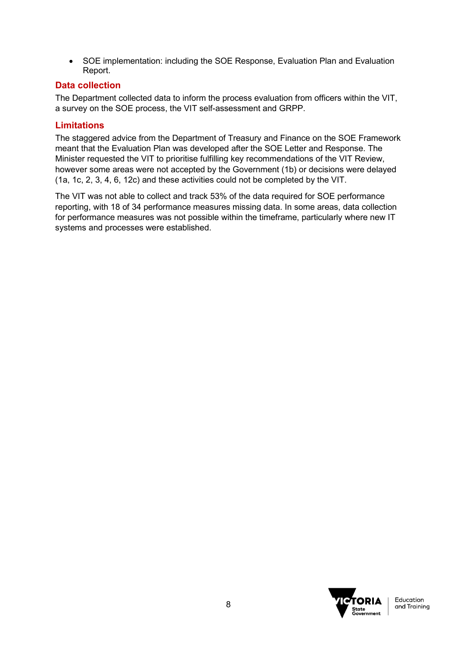• SOE implementation: including the SOE Response, Evaluation Plan and Evaluation Report.

## **Data collection**

The Department collected data to inform the process evaluation from officers within the VIT, a survey on the SOE process, the VIT self-assessment and GRPP.

## **Limitations**

The staggered advice from the Department of Treasury and Finance on the SOE Framework meant that the Evaluation Plan was developed after the SOE Letter and Response. The Minister requested the VIT to prioritise fulfilling key recommendations of the VIT Review, however some areas were not accepted by the Government (1b) or decisions were delayed (1a, 1c, 2, 3, 4, 6, 12c) and these activities could not be completed by the VIT.

The VIT was not able to collect and track 53% of the data required for SOE performance reporting, with 18 of 34 performance measures missing data. In some areas, data collection for performance measures was not possible within the timeframe, particularly where new IT systems and processes were established.

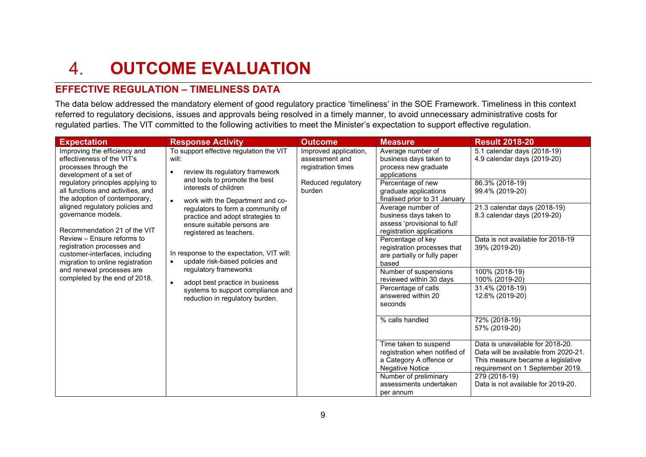#### **OUTCOME EVALUATION**   $\overline{4}$ .

# **EFFECTIVE REGULATION – TIMELINESS DATA**

The data below addressed the mandatory element of good regulatory practice 'timeliness' in the SOE Framework. Timeliness in this context referred to regulatory decisions, issues and approvals being resolved in a timely manner, to avoid unnecessary administrative costs for regulated parties. The VIT committed to the following activities to meet the Minister's expectation to support effective regulation.

<span id="page-8-1"></span><span id="page-8-0"></span>

| <b>Expectation</b>                                                                                                                                  | <b>Response Activity</b>                                                                                                                                                                                                                                                                                                                                                                                                                               | <b>Outcome</b>                                                                      | <b>Measure</b>                                                                                           | <b>Result 2018-20</b>                                                                                         |
|-----------------------------------------------------------------------------------------------------------------------------------------------------|--------------------------------------------------------------------------------------------------------------------------------------------------------------------------------------------------------------------------------------------------------------------------------------------------------------------------------------------------------------------------------------------------------------------------------------------------------|-------------------------------------------------------------------------------------|----------------------------------------------------------------------------------------------------------|---------------------------------------------------------------------------------------------------------------|
| Improving the efficiency and<br>effectiveness of the VIT's<br>processes through the<br>development of a set of<br>regulatory principles applying to | To support effective regulation the VIT<br>will:<br>review its regulatory framework<br>and tools to promote the best                                                                                                                                                                                                                                                                                                                                   | Improved application,<br>assessment and<br>registration times<br>Reduced regulatory | Average number of<br>business days taken to<br>process new graduate<br>applications<br>Percentage of new | 5.1 calendar days (2018-19)<br>4.9 calendar days (2019-20)<br>86.3% (2018-19)                                 |
| all functions and activities, and<br>the adoption of contemporary,                                                                                  | interests of children<br>work with the Department and co-<br>$\bullet$<br>regulators to form a community of<br>practice and adopt strategies to<br>ensure suitable persons are<br>registered as teachers.<br>In response to the expectation, VIT will:<br>update risk-based policies and<br>$\bullet$<br>regulatory frameworks<br>adopt best practice in business<br>$\bullet$<br>systems to support compliance and<br>reduction in regulatory burden. | burden                                                                              | graduate applications<br>finalised prior to 31 January                                                   | 99.4% (2019-20)                                                                                               |
| aligned regulatory policies and<br>governance models.<br>Recommendation 21 of the VIT                                                               |                                                                                                                                                                                                                                                                                                                                                                                                                                                        |                                                                                     | Average number of<br>business days taken to<br>assess 'provisional to full'<br>registration applications | 21.3 calendar days (2018-19)<br>8.3 calendar days (2019-20)                                                   |
| Review – Ensure reforms to<br>registration processes and<br>customer-interfaces, including<br>migration to online registration                      |                                                                                                                                                                                                                                                                                                                                                                                                                                                        |                                                                                     | Percentage of key<br>registration processes that<br>are partially or fully paper<br>based                | Data is not available for 2018-19<br>39% (2019-20)                                                            |
| and renewal processes are<br>completed by the end of 2018.                                                                                          |                                                                                                                                                                                                                                                                                                                                                                                                                                                        |                                                                                     | Number of suspensions<br>reviewed within 30 days                                                         | 100% (2018-19)<br>100% (2019-20)                                                                              |
|                                                                                                                                                     |                                                                                                                                                                                                                                                                                                                                                                                                                                                        |                                                                                     | Percentage of calls<br>answered within 20<br>seconds                                                     | 31.4% (2018-19)<br>12.6% (2019-20)                                                                            |
|                                                                                                                                                     |                                                                                                                                                                                                                                                                                                                                                                                                                                                        |                                                                                     | % calls handled                                                                                          | 72% (2018-19)<br>57% (2019-20)                                                                                |
|                                                                                                                                                     |                                                                                                                                                                                                                                                                                                                                                                                                                                                        |                                                                                     | Time taken to suspend<br>registration when notified of<br>a Category A offence or                        | Data is unavailable for 2018-20.<br>Data will be available from 2020-21.<br>This measure became a legislative |
|                                                                                                                                                     |                                                                                                                                                                                                                                                                                                                                                                                                                                                        |                                                                                     | <b>Negative Notice</b><br>Number of preliminary<br>assessments undertaken<br>per annum                   | requirement on 1 September 2019.<br>279 (2018-19)<br>Data is not available for 2019-20.                       |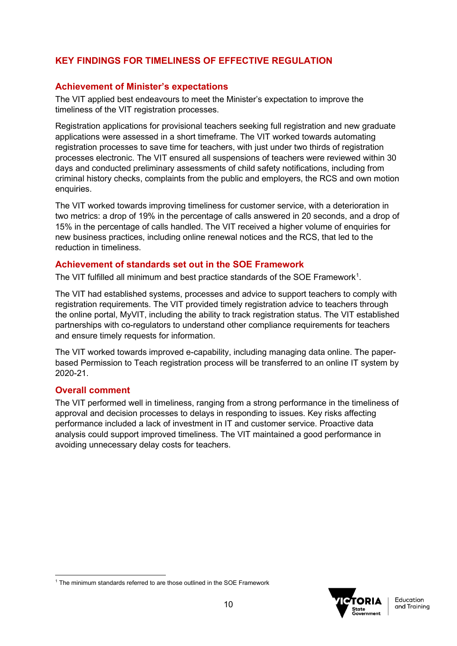# **KEY FINDINGS FOR TIMELINESS OF EFFECTIVE REGULATION**

## **Achievement of Minister's expectations**

The VIT applied best endeavours to meet the Minister's expectation to improve the timeliness of the VIT registration processes.

Registration applications for provisional teachers seeking full registration and new graduate applications were assessed in a short timeframe. The VIT worked towards automating registration processes to save time for teachers, with just under two thirds of registration processes electronic. The VIT ensured all suspensions of teachers were reviewed within 30 days and conducted preliminary assessments of child safety notifications, including from criminal history checks, complaints from the public and employers, the RCS and own motion enquiries.

The VIT worked towards improving timeliness for customer service, with a deterioration in two metrics: a drop of 19% in the percentage of calls answered in 20 seconds, and a drop of 15% in the percentage of calls handled. The VIT received a higher volume of enquiries for new business practices, including online renewal notices and the RCS, that led to the reduction in timeliness.

#### **Achievement of standards set out in the SOE Framework**

The VIT fulfilled all minimum and best practice standards of the SOE Framework<sup>[1](#page-9-0)</sup>.

The VIT had established systems, processes and advice to support teachers to comply with registration requirements. The VIT provided timely registration advice to teachers through the online portal, MyVIT, including the ability to track registration status. The VIT established partnerships with co-regulators to understand other compliance requirements for teachers and ensure timely requests for information.

The VIT worked towards improved e-capability, including managing data online. The paperbased Permission to Teach registration process will be transferred to an online IT system by 2020-21.

#### **Overall comment**

The VIT performed well in timeliness, ranging from a strong performance in the timeliness of approval and decision processes to delays in responding to issues. Key risks affecting performance included a lack of investment in IT and customer service. Proactive data analysis could support improved timeliness. The VIT maintained a good performance in avoiding unnecessary delay costs for teachers.



**Education** and Training

<span id="page-9-0"></span><sup>&</sup>lt;sup>1</sup> The minimum standards referred to are those outlined in the SOE Framework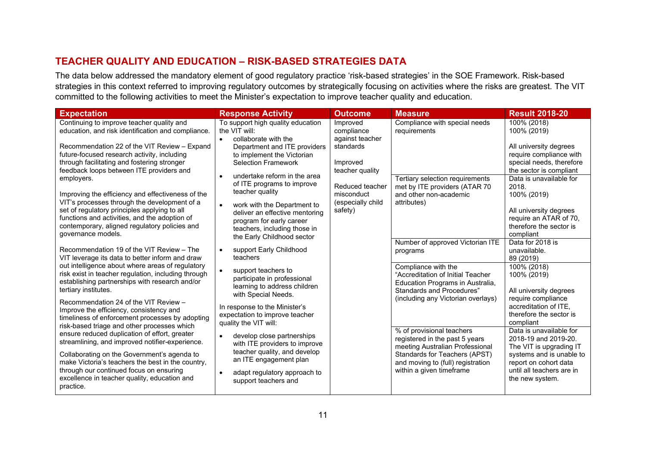# **TEACHER QUALITY AND EDUCATION – RISK-BASED STRATEGIES DATA**

The data below addressed the mandatory element of good regulatory practice 'risk-based strategies' in the SOE Framework. Risk-based strategies in this context referred to improving regulatory outcomes by strategically focusing on activities where the risks are greatest. The VIT committed to the following activities to meet the Minister's expectation to improve teacher quality and education.

<span id="page-10-0"></span>

| <b>Expectation</b>                                                                                                                                                                                                                                                                                                                                                                                                                                                                                                                                                                                                                                                                                                                                                                                                                                                                                                                                                                                                                                                                                                                                                                                                                                                                                                                                                              | <b>Response Activity</b>                                                                                                                                                                                                                                                                                                                                                                                                                                                                                                                                                                                                                                                                                                                                                                                                                            | <b>Outcome</b>                                                                                                                                         | <b>Measure</b>                                                                                                                                                                                                                                                                                                                                                                                                                                                                                                                                                                    | <b>Result 2018-20</b>                                                                                                                                                                                                                                                                                                                                                                                                                                                                                                                                                                                                                                                    |
|---------------------------------------------------------------------------------------------------------------------------------------------------------------------------------------------------------------------------------------------------------------------------------------------------------------------------------------------------------------------------------------------------------------------------------------------------------------------------------------------------------------------------------------------------------------------------------------------------------------------------------------------------------------------------------------------------------------------------------------------------------------------------------------------------------------------------------------------------------------------------------------------------------------------------------------------------------------------------------------------------------------------------------------------------------------------------------------------------------------------------------------------------------------------------------------------------------------------------------------------------------------------------------------------------------------------------------------------------------------------------------|-----------------------------------------------------------------------------------------------------------------------------------------------------------------------------------------------------------------------------------------------------------------------------------------------------------------------------------------------------------------------------------------------------------------------------------------------------------------------------------------------------------------------------------------------------------------------------------------------------------------------------------------------------------------------------------------------------------------------------------------------------------------------------------------------------------------------------------------------------|--------------------------------------------------------------------------------------------------------------------------------------------------------|-----------------------------------------------------------------------------------------------------------------------------------------------------------------------------------------------------------------------------------------------------------------------------------------------------------------------------------------------------------------------------------------------------------------------------------------------------------------------------------------------------------------------------------------------------------------------------------|--------------------------------------------------------------------------------------------------------------------------------------------------------------------------------------------------------------------------------------------------------------------------------------------------------------------------------------------------------------------------------------------------------------------------------------------------------------------------------------------------------------------------------------------------------------------------------------------------------------------------------------------------------------------------|
| Continuing to improve teacher quality and<br>education, and risk identification and compliance.<br>Recommendation 22 of the VIT Review - Expand<br>future-focused research activity, including<br>through facilitating and fostering stronger<br>feedback loops between ITE providers and<br>employers.<br>Improving the efficiency and effectiveness of the<br>VIT's processes through the development of a<br>set of regulatory principles applying to all<br>functions and activities, and the adoption of<br>contemporary, aligned regulatory policies and<br>governance models.<br>Recommendation 19 of the VIT Review - The<br>VIT leverage its data to better inform and draw<br>out intelligence about where areas of regulatory<br>risk exist in teacher regulation, including through<br>establishing partnerships with research and/or<br>tertiary institutes.<br>Recommendation 24 of the VIT Review -<br>Improve the efficiency, consistency and<br>timeliness of enforcement processes by adopting<br>risk-based triage and other processes which<br>ensure reduced duplication of effort, greater<br>streamlining, and improved notifier-experience.<br>Collaborating on the Government's agenda to<br>make Victoria's teachers the best in the country,<br>through our continued focus on ensuring<br>excellence in teacher quality, education and<br>practice. | To support high quality education<br>the VIT will:<br>collaborate with the<br>Department and ITE providers<br>to implement the Victorian<br><b>Selection Framework</b><br>undertake reform in the area<br>of ITE programs to improve<br>teacher quality<br>work with the Department to<br>deliver an effective mentoring<br>program for early career<br>teachers, including those in<br>the Early Childhood sector<br>support Early Childhood<br>teachers<br>support teachers to<br>participate in professional<br>learning to address children<br>with Special Needs.<br>In response to the Minister's<br>expectation to improve teacher<br>quality the VIT will:<br>develop close partnerships<br>with ITE providers to improve<br>teacher quality, and develop<br>an ITE engagement plan<br>adapt regulatory approach to<br>support teachers and | Improved<br>compliance<br>against teacher<br>standards<br>Improved<br>teacher quality<br>Reduced teacher<br>misconduct<br>(especially child<br>safety) | Compliance with special needs<br>requirements<br>Tertiary selection requirements<br>met by ITE providers (ATAR 70<br>and other non-academic<br>attributes)<br>Number of approved Victorian ITE<br>programs<br>Compliance with the<br>"Accreditation of Initial Teacher<br>Education Programs in Australia,<br>Standards and Procedures"<br>(including any Victorian overlays)<br>% of provisional teachers<br>registered in the past 5 years<br>meeting Australian Professional<br>Standards for Teachers (APST)<br>and moving to (full) registration<br>within a given timeframe | 100% (2018)<br>100% (2019)<br>All university degrees<br>require compliance with<br>special needs, therefore<br>the sector is compliant<br>Data is unavailable for<br>2018.<br>100% (2019)<br>All university degrees<br>require an ATAR of 70,<br>therefore the sector is<br>compliant<br>Data for 2018 is<br>unavailable.<br>89 (2019)<br>100% (2018)<br>100% (2019)<br>All university degrees<br>require compliance<br>accreditation of ITE,<br>therefore the sector is<br>compliant<br>Data is unavailable for<br>2018-19 and 2019-20.<br>The VIT is upgrading IT<br>systems and is unable to<br>report on cohort data<br>until all teachers are in<br>the new system. |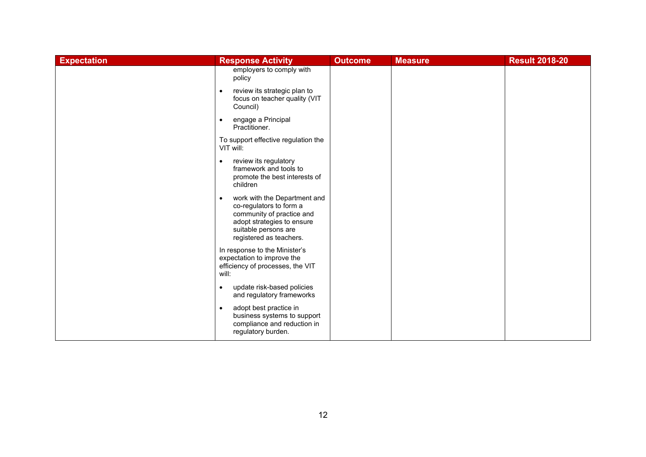| <b>Expectation</b> | <b>Response Activity</b>                                                                                                                                                           | <b>Outcome</b> | <b>Measure</b> | <b>Result 2018-20</b> |
|--------------------|------------------------------------------------------------------------------------------------------------------------------------------------------------------------------------|----------------|----------------|-----------------------|
|                    | employers to comply with<br>policy                                                                                                                                                 |                |                |                       |
|                    | review its strategic plan to<br>focus on teacher quality (VIT<br>Council)                                                                                                          |                |                |                       |
|                    | engage a Principal<br>$\bullet$<br>Practitioner.                                                                                                                                   |                |                |                       |
|                    | To support effective regulation the<br>VIT will:                                                                                                                                   |                |                |                       |
|                    | review its regulatory<br>$\bullet$<br>framework and tools to<br>promote the best interests of<br>children                                                                          |                |                |                       |
|                    | work with the Department and<br>$\bullet$<br>co-regulators to form a<br>community of practice and<br>adopt strategies to ensure<br>suitable persons are<br>registered as teachers. |                |                |                       |
|                    | In response to the Minister's<br>expectation to improve the<br>efficiency of processes, the VIT<br>will:                                                                           |                |                |                       |
|                    | update risk-based policies<br>$\bullet$<br>and regulatory frameworks                                                                                                               |                |                |                       |
|                    | adopt best practice in<br>$\bullet$<br>business systems to support<br>compliance and reduction in<br>regulatory burden.                                                            |                |                |                       |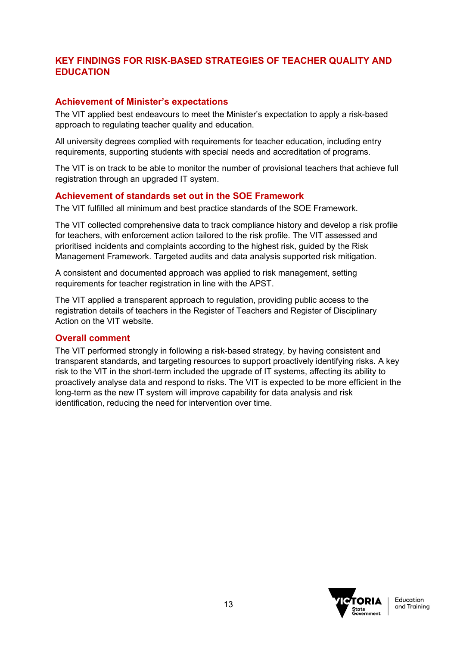# **KEY FINDINGS FOR RISK-BASED STRATEGIES OF TEACHER QUALITY AND EDUCATION**

## **Achievement of Minister's expectations**

The VIT applied best endeavours to meet the Minister's expectation to apply a risk-based approach to regulating teacher quality and education.

All university degrees complied with requirements for teacher education, including entry requirements, supporting students with special needs and accreditation of programs.

The VIT is on track to be able to monitor the number of provisional teachers that achieve full registration through an upgraded IT system.

## **Achievement of standards set out in the SOE Framework**

The VIT fulfilled all minimum and best practice standards of the SOE Framework.

The VIT collected comprehensive data to track compliance history and develop a risk profile for teachers, with enforcement action tailored to the risk profile. The VIT assessed and prioritised incidents and complaints according to the highest risk, guided by the Risk Management Framework. Targeted audits and data analysis supported risk mitigation.

A consistent and documented approach was applied to risk management, setting requirements for teacher registration in line with the APST.

The VIT applied a transparent approach to regulation, providing public access to the registration details of teachers in the Register of Teachers and Register of Disciplinary Action on the VIT website.

## **Overall comment**

The VIT performed strongly in following a risk-based strategy, by having consistent and transparent standards, and targeting resources to support proactively identifying risks. A key risk to the VIT in the short-term included the upgrade of IT systems, affecting its ability to proactively analyse data and respond to risks. The VIT is expected to be more efficient in the long-term as the new IT system will improve capability for data analysis and risk identification, reducing the need for intervention over time.

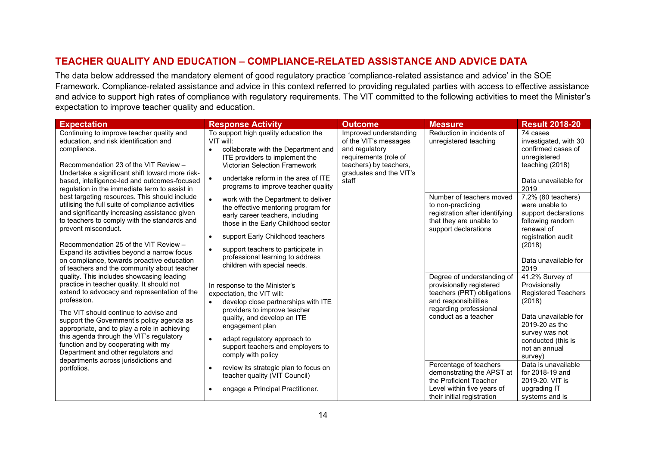# **TEACHER QUALITY AND EDUCATION – COMPLIANCE-RELATED ASSISTANCE AND ADVICE DATA**

The data below addressed the mandatory element of good regulatory practice 'compliance-related assistance and advice' in the SOE Framework. Compliance-related assistance and advice in this context referred to providing regulated parties with access to effective assistance and advice to support high rates of compliance with regulatory requirements. The VIT committed to the following activities to meet the Minister's expectation to improve teacher quality and education.

<span id="page-13-0"></span>

| <b>Expectation</b>                                                                                                                                                                                                                                                                                                                                                                                                                                                                                                                                                                                                                                                                                                                                                                                                                                                                                                                                                                                                                                             | <b>Response Activity</b>                                                                                                                                                                                                                                                                                                                                                                                                                                                                                                                                                                                                                                                                                                                                                   | <b>Outcome</b>                                                                                                                                           | <b>Measure</b>                                                                                                                                                                                                                                                                                                                                             | <b>Result 2018-20</b>                                                                                                                                                                                                                                                                                                                                                                                                                |
|----------------------------------------------------------------------------------------------------------------------------------------------------------------------------------------------------------------------------------------------------------------------------------------------------------------------------------------------------------------------------------------------------------------------------------------------------------------------------------------------------------------------------------------------------------------------------------------------------------------------------------------------------------------------------------------------------------------------------------------------------------------------------------------------------------------------------------------------------------------------------------------------------------------------------------------------------------------------------------------------------------------------------------------------------------------|----------------------------------------------------------------------------------------------------------------------------------------------------------------------------------------------------------------------------------------------------------------------------------------------------------------------------------------------------------------------------------------------------------------------------------------------------------------------------------------------------------------------------------------------------------------------------------------------------------------------------------------------------------------------------------------------------------------------------------------------------------------------------|----------------------------------------------------------------------------------------------------------------------------------------------------------|------------------------------------------------------------------------------------------------------------------------------------------------------------------------------------------------------------------------------------------------------------------------------------------------------------------------------------------------------------|--------------------------------------------------------------------------------------------------------------------------------------------------------------------------------------------------------------------------------------------------------------------------------------------------------------------------------------------------------------------------------------------------------------------------------------|
| Continuing to improve teacher quality and<br>education, and risk identification and<br>compliance.<br>Recommendation 23 of the VIT Review -<br>Undertake a significant shift toward more risk-<br>based, intelligence-led and outcomes-focused<br>regulation in the immediate term to assist in<br>best targeting resources. This should include<br>utilising the full suite of compliance activities<br>and significantly increasing assistance given<br>to teachers to comply with the standards and<br>prevent misconduct.<br>Recommendation 25 of the VIT Review -<br>Expand its activities beyond a narrow focus<br>on compliance, towards proactive education<br>of teachers and the community about teacher<br>quality. This includes showcasing leading<br>practice in teacher quality. It should not<br>extend to advocacy and representation of the<br>profession.<br>The VIT should continue to advise and<br>support the Government's policy agenda as<br>appropriate, and to play a role in achieving<br>this agenda through the VIT's regulatory | To support high quality education the<br>VIT will:<br>collaborate with the Department and<br>$\bullet$<br>ITE providers to implement the<br><b>Victorian Selection Framework</b><br>undertake reform in the area of ITE<br>programs to improve teacher quality<br>work with the Department to deliver<br>the effective mentoring program for<br>early career teachers, including<br>those in the Early Childhood sector<br>support Early Childhood teachers<br>$\bullet$<br>support teachers to participate in<br>professional learning to address<br>children with special needs.<br>In response to the Minister's<br>expectation, the VIT will:<br>develop close partnerships with ITE<br>providers to improve teacher<br>quality, and develop an ITE<br>engagement plan | Improved understanding<br>of the VIT's messages<br>and regulatory<br>requirements (role of<br>teachers) by teachers,<br>graduates and the VIT's<br>staff | Reduction in incidents of<br>unregistered teaching<br>Number of teachers moved<br>to non-practicing<br>registration after identifying<br>that they are unable to<br>support declarations<br>Degree of understanding of<br>provisionally registered<br>teachers (PRT) obligations<br>and responsibilities<br>regarding professional<br>conduct as a teacher | 74 cases<br>investigated, with 30<br>confirmed cases of<br>unregistered<br>teaching (2018)<br>Data unavailable for<br>2019<br>7.2% (80 teachers)<br>were unable to<br>support declarations<br>following random<br>renewal of<br>registration audit<br>(2018)<br>Data unavailable for<br>2019<br>41.2% Survey of<br>Provisionally<br><b>Registered Teachers</b><br>(2018)<br>Data unavailable for<br>2019-20 as the<br>survey was not |
| function and by cooperating with my<br>Department and other regulators and                                                                                                                                                                                                                                                                                                                                                                                                                                                                                                                                                                                                                                                                                                                                                                                                                                                                                                                                                                                     | adapt regulatory approach to<br>$\bullet$<br>support teachers and employers to<br>comply with policy                                                                                                                                                                                                                                                                                                                                                                                                                                                                                                                                                                                                                                                                       |                                                                                                                                                          |                                                                                                                                                                                                                                                                                                                                                            | conducted (this is<br>not an annual<br>survey)                                                                                                                                                                                                                                                                                                                                                                                       |
| departments across jurisdictions and<br>portfolios.                                                                                                                                                                                                                                                                                                                                                                                                                                                                                                                                                                                                                                                                                                                                                                                                                                                                                                                                                                                                            | review its strategic plan to focus on<br>$\bullet$<br>teacher quality (VIT Council)                                                                                                                                                                                                                                                                                                                                                                                                                                                                                                                                                                                                                                                                                        |                                                                                                                                                          | Percentage of teachers<br>demonstrating the APST at<br>the Proficient Teacher                                                                                                                                                                                                                                                                              | Data is unavailable<br>for 2018-19 and<br>2019-20, VIT is                                                                                                                                                                                                                                                                                                                                                                            |
|                                                                                                                                                                                                                                                                                                                                                                                                                                                                                                                                                                                                                                                                                                                                                                                                                                                                                                                                                                                                                                                                | engage a Principal Practitioner.<br>$\bullet$                                                                                                                                                                                                                                                                                                                                                                                                                                                                                                                                                                                                                                                                                                                              |                                                                                                                                                          | Level within five years of<br>their initial registration                                                                                                                                                                                                                                                                                                   | upgrading IT<br>systems and is                                                                                                                                                                                                                                                                                                                                                                                                       |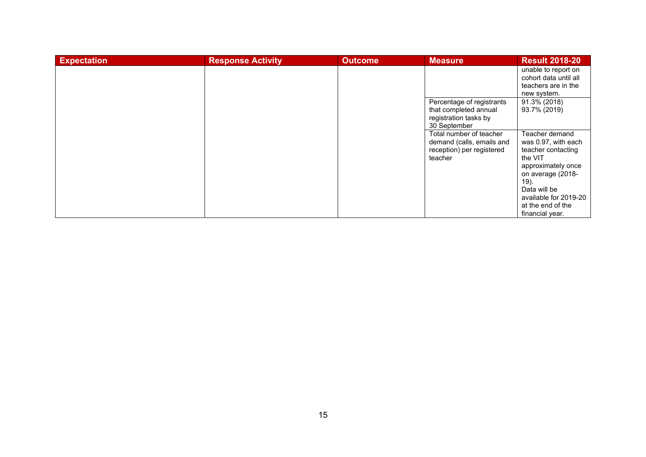| <b>Expectation</b> | <b>Response Activity</b> | <b>Outcome</b> | <b>Measure</b>            | <b>Result 2018-20</b> |
|--------------------|--------------------------|----------------|---------------------------|-----------------------|
|                    |                          |                |                           | unable to report on   |
|                    |                          |                |                           | cohort data until all |
|                    |                          |                |                           | teachers are in the   |
|                    |                          |                |                           | new system.           |
|                    |                          |                | Percentage of registrants | 91.3% (2018)          |
|                    |                          |                | that completed annual     | 93.7% (2019)          |
|                    |                          |                | registration tasks by     |                       |
|                    |                          |                | 30 September              |                       |
|                    |                          |                | Total number of teacher   | Teacher demand        |
|                    |                          |                | demand (calls, emails and | was 0.97, with each   |
|                    |                          |                | reception) per registered | teacher contacting    |
|                    |                          |                | teacher                   | the VIT               |
|                    |                          |                |                           | approximately once    |
|                    |                          |                |                           | on average (2018-     |
|                    |                          |                |                           | 19).                  |
|                    |                          |                |                           | Data will be          |
|                    |                          |                |                           | available for 2019-20 |
|                    |                          |                |                           | at the end of the     |
|                    |                          |                |                           | financial year.       |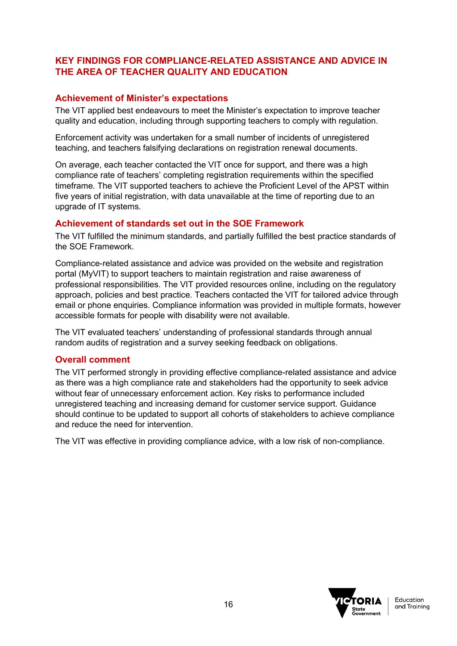## **KEY FINDINGS FOR COMPLIANCE-RELATED ASSISTANCE AND ADVICE IN THE AREA OF TEACHER QUALITY AND EDUCATION**

### **Achievement of Minister's expectations**

The VIT applied best endeavours to meet the Minister's expectation to improve teacher quality and education, including through supporting teachers to comply with regulation.

Enforcement activity was undertaken for a small number of incidents of unregistered teaching, and teachers falsifying declarations on registration renewal documents.

On average, each teacher contacted the VIT once for support, and there was a high compliance rate of teachers' completing registration requirements within the specified timeframe. The VIT supported teachers to achieve the Proficient Level of the APST within five years of initial registration, with data unavailable at the time of reporting due to an upgrade of IT systems.

#### **Achievement of standards set out in the SOE Framework**

The VIT fulfilled the minimum standards, and partially fulfilled the best practice standards of the SOE Framework.

Compliance-related assistance and advice was provided on the website and registration portal (MyVIT) to support teachers to maintain registration and raise awareness of professional responsibilities. The VIT provided resources online, including on the regulatory approach, policies and best practice. Teachers contacted the VIT for tailored advice through email or phone enquiries. Compliance information was provided in multiple formats, however accessible formats for people with disability were not available.

The VIT evaluated teachers' understanding of professional standards through annual random audits of registration and a survey seeking feedback on obligations.

#### **Overall comment**

The VIT performed strongly in providing effective compliance-related assistance and advice as there was a high compliance rate and stakeholders had the opportunity to seek advice without fear of unnecessary enforcement action. Key risks to performance included unregistered teaching and increasing demand for customer service support. Guidance should continue to be updated to support all cohorts of stakeholders to achieve compliance and reduce the need for intervention.

The VIT was effective in providing compliance advice, with a low risk of non-compliance.

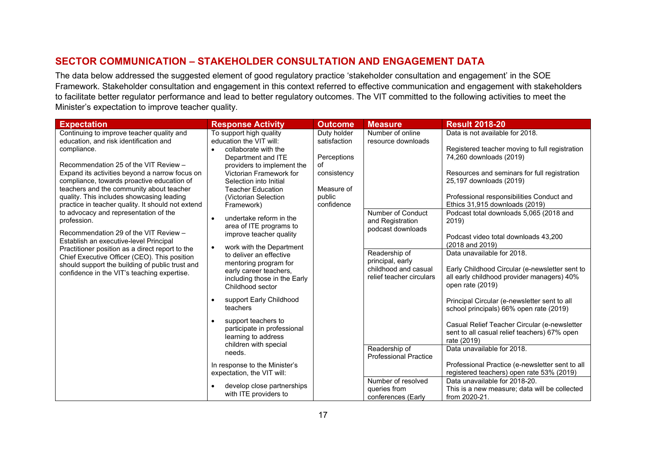# **SECTOR COMMUNICATION – STAKEHOLDER CONSULTATION AND ENGAGEMENT DATA**

The data below addressed the suggested element of good regulatory practice 'stakeholder consultation and engagement' in the SOE Framework. Stakeholder consultation and engagement in this context referred to effective communication and engagement with stakeholders to facilitate better regulator performance and lead to better regulatory outcomes. The VIT committed to the following activities to meet the Minister's expectation to improve teacher quality.

<span id="page-16-0"></span>

| <b>Expectation</b>                                                                                                                                                                                                                                                                  | <b>Response Activity</b>                                                                                                                                                | <b>Outcome</b>                                                         | <b>Measure</b>                                                                        | <b>Result 2018-20</b>                                                                                                                                                             |
|-------------------------------------------------------------------------------------------------------------------------------------------------------------------------------------------------------------------------------------------------------------------------------------|-------------------------------------------------------------------------------------------------------------------------------------------------------------------------|------------------------------------------------------------------------|---------------------------------------------------------------------------------------|-----------------------------------------------------------------------------------------------------------------------------------------------------------------------------------|
| Continuing to improve teacher quality and<br>education, and risk identification and<br>compliance.                                                                                                                                                                                  | To support high quality<br>education the VIT will:<br>collaborate with the                                                                                              | Duty holder<br>satisfaction                                            | Number of online<br>resource downloads                                                | Data is not available for 2018.<br>Registered teacher moving to full registration                                                                                                 |
| Recommendation 25 of the VIT Review -<br>Expand its activities beyond a narrow focus on<br>compliance, towards proactive education of<br>teachers and the community about teacher<br>quality. This includes showcasing leading<br>practice in teacher quality. It should not extend | Department and ITE<br>providers to implement the<br>Victorian Framework for<br>Selection into Initial<br><b>Teacher Education</b><br>(Victorian Selection<br>Framework) | Perceptions<br>of<br>consistency<br>Measure of<br>public<br>confidence |                                                                                       | 74,260 downloads (2019)<br>Resources and seminars for full registration<br>25,197 downloads (2019)<br>Professional responsibilities Conduct and<br>Ethics 31,915 downloads (2019) |
| to advocacy and representation of the<br>profession.<br>Recommendation 29 of the VIT Review -<br>Establish an executive-level Principal<br>Practitioner position as a direct report to the                                                                                          | undertake reform in the<br>$\bullet$<br>area of ITE programs to<br>improve teacher quality<br>work with the Department<br>$\bullet$                                     |                                                                        | <b>Number of Conduct</b><br>and Registration<br>podcast downloads                     | Podcast total downloads 5,065 (2018 and<br>2019)<br>Podcast video total downloads 43,200<br>(2018 and 2019)                                                                       |
| Chief Executive Officer (CEO). This position<br>should support the building of public trust and<br>confidence in the VIT's teaching expertise.                                                                                                                                      | to deliver an effective<br>mentoring program for<br>early career teachers,<br>including those in the Early<br>Childhood sector                                          |                                                                        | Readership of<br>principal, early<br>childhood and casual<br>relief teacher circulars | Data unavailable for 2018.<br>Early Childhood Circular (e-newsletter sent to<br>all early childhood provider managers) 40%<br>open rate (2019)                                    |
|                                                                                                                                                                                                                                                                                     | support Early Childhood<br>teachers                                                                                                                                     |                                                                        |                                                                                       | Principal Circular (e-newsletter sent to all<br>school principals) 66% open rate (2019)                                                                                           |
|                                                                                                                                                                                                                                                                                     | support teachers to<br>$\bullet$<br>participate in professional<br>learning to address<br>children with special                                                         |                                                                        |                                                                                       | Casual Relief Teacher Circular (e-newsletter<br>sent to all casual relief teachers) 67% open<br>rate (2019)                                                                       |
|                                                                                                                                                                                                                                                                                     | needs.                                                                                                                                                                  |                                                                        | Readership of<br><b>Professional Practice</b>                                         | Data unavailable for 2018.                                                                                                                                                        |
|                                                                                                                                                                                                                                                                                     | In response to the Minister's<br>expectation, the VIT will:                                                                                                             |                                                                        |                                                                                       | Professional Practice (e-newsletter sent to all<br>registered teachers) open rate 53% (2019)                                                                                      |
|                                                                                                                                                                                                                                                                                     | develop close partnerships<br>$\bullet$<br>with ITE providers to                                                                                                        |                                                                        | Number of resolved<br>queries from<br>conferences (Early                              | Data unavailable for 2018-20.<br>This is a new measure; data will be collected<br>from 2020-21.                                                                                   |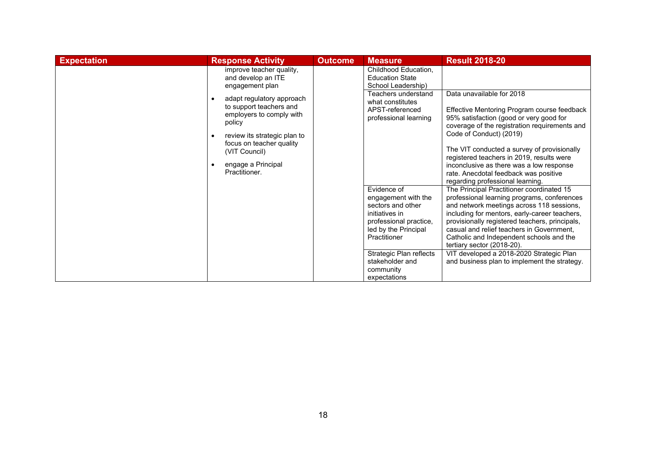| <b>Expectation</b> | <b>Response Activity</b>                                                                                                                                                                                                    | <b>Outcome</b> | <b>Measure</b>                                                                                                                              | <b>Result 2018-20</b>                                                                                                                                                                                                                                                                                                                                                                                                |
|--------------------|-----------------------------------------------------------------------------------------------------------------------------------------------------------------------------------------------------------------------------|----------------|---------------------------------------------------------------------------------------------------------------------------------------------|----------------------------------------------------------------------------------------------------------------------------------------------------------------------------------------------------------------------------------------------------------------------------------------------------------------------------------------------------------------------------------------------------------------------|
|                    | improve teacher quality,<br>and develop an ITE<br>engagement plan                                                                                                                                                           |                | Childhood Education,<br><b>Education State</b><br>School Leadership)                                                                        |                                                                                                                                                                                                                                                                                                                                                                                                                      |
|                    | adapt regulatory approach<br>$\bullet$<br>to support teachers and<br>employers to comply with<br>policy<br>review its strategic plan to<br>focus on teacher quality<br>(VIT Council)<br>engage a Principal<br>Practitioner. |                | Teachers understand<br>what constitutes<br>APST-referenced<br>professional learning                                                         | Data unavailable for 2018<br>Effective Mentoring Program course feedback<br>95% satisfaction (good or very good for<br>coverage of the registration requirements and<br>Code of Conduct) (2019)<br>The VIT conducted a survey of provisionally<br>registered teachers in 2019, results were<br>inconclusive as there was a low response<br>rate. Anecdotal feedback was positive<br>regarding professional learning. |
|                    |                                                                                                                                                                                                                             |                | Evidence of<br>engagement with the<br>sectors and other<br>initiatives in<br>professional practice,<br>led by the Principal<br>Practitioner | The Principal Practitioner coordinated 15<br>professional learning programs, conferences<br>and network meetings across 118 sessions,<br>including for mentors, early-career teachers,<br>provisionally registered teachers, principals,<br>casual and relief teachers in Government,<br>Catholic and Independent schools and the<br>tertiary sector (2018-20).                                                      |
|                    |                                                                                                                                                                                                                             |                | Strategic Plan reflects<br>stakeholder and<br>community<br>expectations                                                                     | VIT developed a 2018-2020 Strategic Plan<br>and business plan to implement the strategy.                                                                                                                                                                                                                                                                                                                             |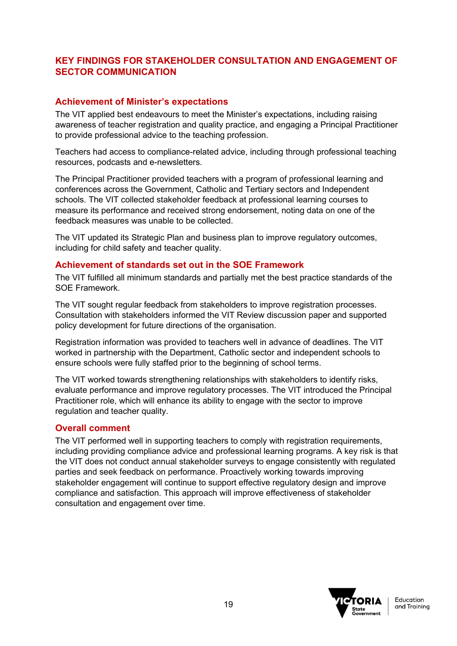# **KEY FINDINGS FOR STAKEHOLDER CONSULTATION AND ENGAGEMENT OF SECTOR COMMUNICATION**

## **Achievement of Minister's expectations**

The VIT applied best endeavours to meet the Minister's expectations, including raising awareness of teacher registration and quality practice, and engaging a Principal Practitioner to provide professional advice to the teaching profession.

Teachers had access to compliance-related advice, including through professional teaching resources, podcasts and e-newsletters.

The Principal Practitioner provided teachers with a program of professional learning and conferences across the Government, Catholic and Tertiary sectors and Independent schools. The VIT collected stakeholder feedback at professional learning courses to measure its performance and received strong endorsement, noting data on one of the feedback measures was unable to be collected.

The VIT updated its Strategic Plan and business plan to improve regulatory outcomes, including for child safety and teacher quality.

## **Achievement of standards set out in the SOE Framework**

The VIT fulfilled all minimum standards and partially met the best practice standards of the SOE Framework.

The VIT sought regular feedback from stakeholders to improve registration processes. Consultation with stakeholders informed the VIT Review discussion paper and supported policy development for future directions of the organisation.

Registration information was provided to teachers well in advance of deadlines. The VIT worked in partnership with the Department, Catholic sector and independent schools to ensure schools were fully staffed prior to the beginning of school terms.

The VIT worked towards strengthening relationships with stakeholders to identify risks, evaluate performance and improve regulatory processes. The VIT introduced the Principal Practitioner role, which will enhance its ability to engage with the sector to improve regulation and teacher quality.

#### **Overall comment**

The VIT performed well in supporting teachers to comply with registration requirements, including providing compliance advice and professional learning programs. A key risk is that the VIT does not conduct annual stakeholder surveys to engage consistently with regulated parties and seek feedback on performance. Proactively working towards improving stakeholder engagement will continue to support effective regulatory design and improve compliance and satisfaction. This approach will improve effectiveness of stakeholder consultation and engagement over time.

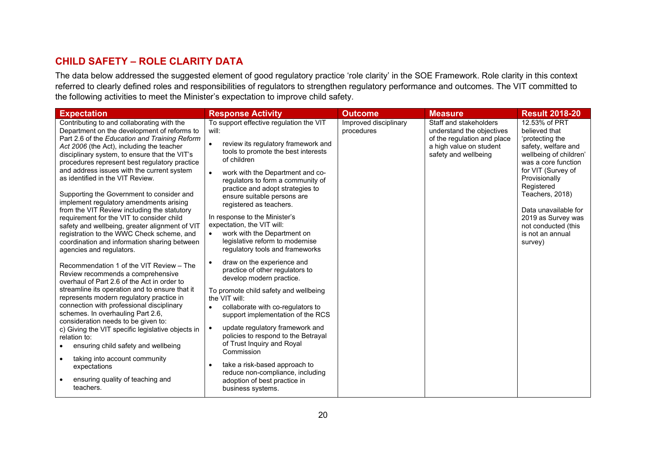# **CHILD SAFETY – ROLE CLARITY DATA**

The data below addressed the suggested element of good regulatory practice 'role clarity' in the SOE Framework. Role clarity in this context referred to clearly defined roles and responsibilities of regulators to strengthen regulatory performance and outcomes. The VIT committed to the following activities to meet the Minister's expectation to improve child safety.

<span id="page-19-0"></span>

| <b>Expectation</b>                                                                                                                                                                                                                                                                                                                                                                                                                                                                                                                                                                                                                                                                                                                         | <b>Response Activity</b>                                                                                                                                                                                                                                                                                                                                                                                                                                                                                | <b>Outcome</b>                      | <b>Measure</b>                                                                                                                        | <b>Result 2018-20</b>                                                                                                                                                                                                                                                                                 |
|--------------------------------------------------------------------------------------------------------------------------------------------------------------------------------------------------------------------------------------------------------------------------------------------------------------------------------------------------------------------------------------------------------------------------------------------------------------------------------------------------------------------------------------------------------------------------------------------------------------------------------------------------------------------------------------------------------------------------------------------|---------------------------------------------------------------------------------------------------------------------------------------------------------------------------------------------------------------------------------------------------------------------------------------------------------------------------------------------------------------------------------------------------------------------------------------------------------------------------------------------------------|-------------------------------------|---------------------------------------------------------------------------------------------------------------------------------------|-------------------------------------------------------------------------------------------------------------------------------------------------------------------------------------------------------------------------------------------------------------------------------------------------------|
| Contributing to and collaborating with the<br>Department on the development of reforms to<br>Part 2.6 of the Education and Training Reform<br>Act 2006 (the Act), including the teacher<br>disciplinary system, to ensure that the VIT's<br>procedures represent best regulatory practice<br>and address issues with the current system<br>as identified in the VIT Review.<br>Supporting the Government to consider and<br>implement regulatory amendments arising<br>from the VIT Review including the statutory<br>requirement for the VIT to consider child<br>safety and wellbeing, greater alignment of VIT<br>registration to the WWC Check scheme, and<br>coordination and information sharing between<br>agencies and regulators. | To support effective regulation the VIT<br>will:<br>review its regulatory framework and<br>tools to promote the best interests<br>of children<br>work with the Department and co-<br>regulators to form a community of<br>practice and adopt strategies to<br>ensure suitable persons are<br>registered as teachers.<br>In response to the Minister's<br>expectation, the VIT will:<br>work with the Department on<br>legislative reform to modernise<br>regulatory tools and frameworks                | Improved disciplinary<br>procedures | Staff and stakeholders<br>understand the objectives<br>of the regulation and place<br>a high value on student<br>safety and wellbeing | 12.53% of PRT<br>believed that<br>'protecting the<br>safety, welfare and<br>wellbeing of children'<br>was a core function<br>for VIT (Survey of<br>Provisionally<br>Registered<br>Teachers, 2018)<br>Data unavailable for<br>2019 as Survey was<br>not conducted (this<br>is not an annual<br>survey) |
| Recommendation 1 of the VIT Review - The<br>Review recommends a comprehensive<br>overhaul of Part 2.6 of the Act in order to<br>streamline its operation and to ensure that it<br>represents modern regulatory practice in<br>connection with professional disciplinary<br>schemes. In overhauling Part 2.6,<br>consideration needs to be given to:<br>c) Giving the VIT specific legislative objects in<br>relation to:<br>ensuring child safety and wellbeing<br>taking into account community<br>$\bullet$<br>expectations<br>ensuring quality of teaching and<br>teachers.                                                                                                                                                             | draw on the experience and<br>practice of other regulators to<br>develop modern practice.<br>To promote child safety and wellbeing<br>the VIT will:<br>collaborate with co-regulators to<br>$\bullet$<br>support implementation of the RCS<br>update regulatory framework and<br>policies to respond to the Betrayal<br>of Trust Inquiry and Royal<br>Commission<br>take a risk-based approach to<br>$\bullet$<br>reduce non-compliance, including<br>adoption of best practice in<br>business systems. |                                     |                                                                                                                                       |                                                                                                                                                                                                                                                                                                       |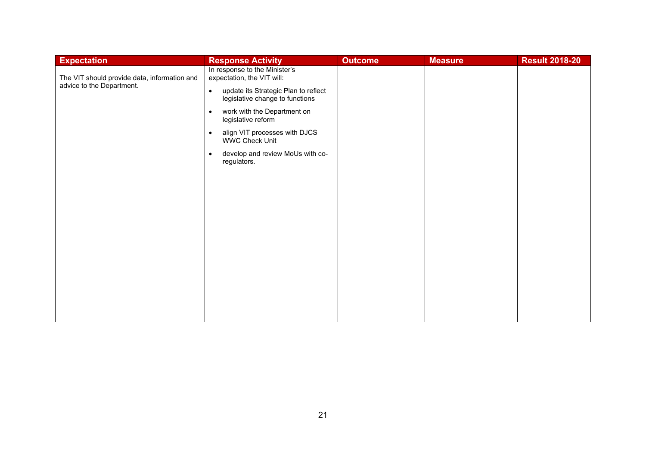| <b>Expectation</b>                                                        | <b>Response Activity</b>                                                                                                                                                                                                                                                                                                                                     | <b>Outcome</b> | <b>Measure</b> | <b>Result 2018-20</b> |
|---------------------------------------------------------------------------|--------------------------------------------------------------------------------------------------------------------------------------------------------------------------------------------------------------------------------------------------------------------------------------------------------------------------------------------------------------|----------------|----------------|-----------------------|
| The VIT should provide data, information and<br>advice to the Department. | In response to the Minister's<br>expectation, the VIT will:<br>update its Strategic Plan to reflect<br>$\bullet$<br>legislative change to functions<br>work with the Department on<br>$\bullet$<br>legislative reform<br>align VIT processes with DJCS<br>$\bullet$<br><b>WWC Check Unit</b><br>develop and review MoUs with co-<br>$\bullet$<br>regulators. |                |                |                       |
|                                                                           |                                                                                                                                                                                                                                                                                                                                                              |                |                |                       |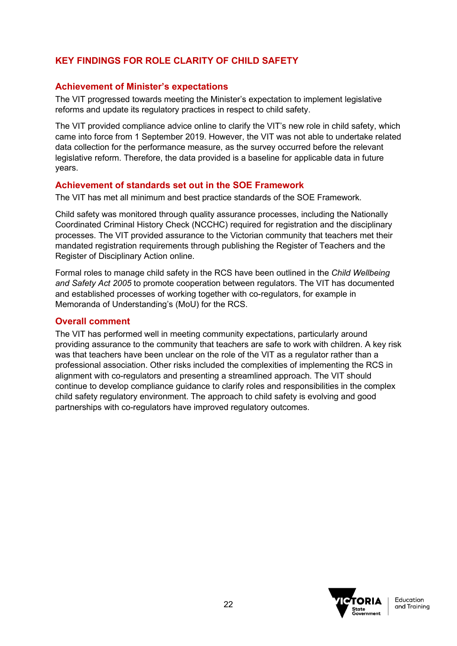# **KEY FINDINGS FOR ROLE CLARITY OF CHILD SAFETY**

### **Achievement of Minister's expectations**

The VIT progressed towards meeting the Minister's expectation to implement legislative reforms and update its regulatory practices in respect to child safety.

The VIT provided compliance advice online to clarify the VIT's new role in child safety, which came into force from 1 September 2019. However, the VIT was not able to undertake related data collection for the performance measure, as the survey occurred before the relevant legislative reform. Therefore, the data provided is a baseline for applicable data in future years.

#### **Achievement of standards set out in the SOE Framework**

The VIT has met all minimum and best practice standards of the SOE Framework.

Child safety was monitored through quality assurance processes, including the Nationally Coordinated Criminal History Check (NCCHC) required for registration and the disciplinary processes. The VIT provided assurance to the Victorian community that teachers met their mandated registration requirements through publishing the Register of Teachers and the Register of Disciplinary Action online.

Formal roles to manage child safety in the RCS have been outlined in the *Child Wellbeing and Safety Act 2005* to promote cooperation between regulators. The VIT has documented and established processes of working together with co-regulators, for example in Memoranda of Understanding's (MoU) for the RCS.

#### **Overall comment**

The VIT has performed well in meeting community expectations, particularly around providing assurance to the community that teachers are safe to work with children. A key risk was that teachers have been unclear on the role of the VIT as a regulator rather than a professional association. Other risks included the complexities of implementing the RCS in alignment with co-regulators and presenting a streamlined approach. The VIT should continue to develop compliance guidance to clarify roles and responsibilities in the complex child safety regulatory environment. The approach to child safety is evolving and good partnerships with co-regulators have improved regulatory outcomes.

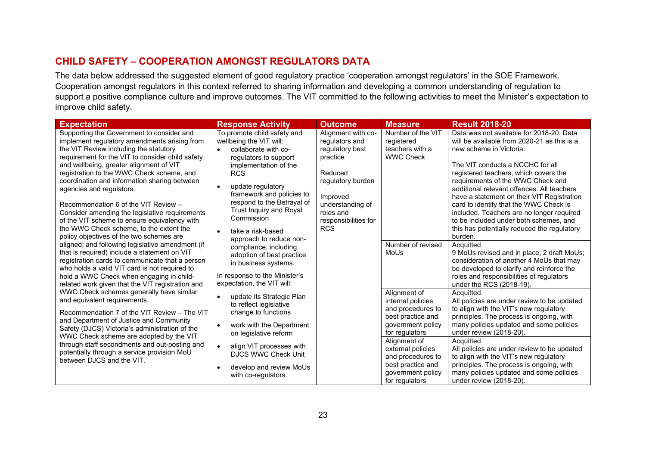# **CHILD SAFETY – COOPERATION AMONGST REGULATORS DATA**

The data below addressed the suggested element of good regulatory practice 'cooperation amongst regulators' in the SOE Framework. Cooperation amongst regulators in this context referred to sharing information and developing a common understanding of regulation to support a positive compliance culture and improve outcomes. The VIT committed to the following activities to meet the Minister's expectation to improve child safety.

<span id="page-22-0"></span>

| <b>Expectation</b>                                                                                                                                                                                                                                                                                                                                                                                                                                                                                                                                                                                                                                                                                                                                                                                                                                                                                                                                                                                                                                                                                                                                                                                                                                                                                                              | <b>Response Activity</b>                                                                                                                                                                                                                                                                                                | <b>Outcome</b>                                                                                                                                                                         | <b>Measure</b>                                                                                                     | <b>Result 2018-20</b>                                                                                                                                                                                                                                                                                                                                                                                                                                                                                                       |
|---------------------------------------------------------------------------------------------------------------------------------------------------------------------------------------------------------------------------------------------------------------------------------------------------------------------------------------------------------------------------------------------------------------------------------------------------------------------------------------------------------------------------------------------------------------------------------------------------------------------------------------------------------------------------------------------------------------------------------------------------------------------------------------------------------------------------------------------------------------------------------------------------------------------------------------------------------------------------------------------------------------------------------------------------------------------------------------------------------------------------------------------------------------------------------------------------------------------------------------------------------------------------------------------------------------------------------|-------------------------------------------------------------------------------------------------------------------------------------------------------------------------------------------------------------------------------------------------------------------------------------------------------------------------|----------------------------------------------------------------------------------------------------------------------------------------------------------------------------------------|--------------------------------------------------------------------------------------------------------------------|-----------------------------------------------------------------------------------------------------------------------------------------------------------------------------------------------------------------------------------------------------------------------------------------------------------------------------------------------------------------------------------------------------------------------------------------------------------------------------------------------------------------------------|
| Supporting the Government to consider and<br>implement regulatory amendments arising from<br>the VIT Review including the statutory<br>requirement for the VIT to consider child safety<br>and wellbeing, greater alignment of VIT<br>registration to the WWC Check scheme, and<br>coordination and information sharing between<br>agencies and regulators.<br>Recommendation 6 of the VIT Review -<br>Consider amending the legislative requirements<br>of the VIT scheme to ensure equivalency with<br>the WWC Check scheme, to the extent the<br>policy objectives of the two schemes are<br>aligned; and following legislative amendment (if<br>that is required) include a statement on VIT<br>registration cards to communicate that a person<br>who holds a valid VIT card is not required to<br>hold a WWC Check when engaging in child-<br>related work given that the VIT registration and<br>WWC Check schemes generally have similar<br>and equivalent requirements.<br>Recommendation 7 of the VIT Review - The VIT<br>and Department of Justice and Community<br>$\bullet$<br>Safety (DJCS) Victoria's administration of the<br>WWC Check scheme are adopted by the VIT<br>through staff secondments and out-posting and<br>potentially through a service provision MoU<br>between DJCS and the VIT.<br>$\bullet$ | To promote child safety and<br>wellbeing the VIT will:<br>collaborate with co-<br>regulators to support<br>implementation of the<br><b>RCS</b><br>update regulatory<br>framework and policies to<br>respond to the Betrayal of<br>Trust Inquiry and Royal<br>Commission<br>take a risk-based<br>approach to reduce non- | Alignment with co-<br>regulators and<br>regulatory best<br>practice<br>Reduced<br>regulatory burden<br>Improved<br>understanding of<br>roles and<br>responsibilities for<br><b>RCS</b> | Number of the VIT<br>registered<br>teachers with a<br><b>WWC Check</b>                                             | Data was not available for 2018-20. Data<br>will be available from 2020-21 as this is a<br>new scheme in Victoria.<br>The VIT conducts a NCCHC for all<br>registered teachers, which covers the<br>requirements of the WWC Check and<br>additional relevant offences. All teachers<br>have a statement on their VIT Registration<br>card to identify that the WWC Check is<br>included. Teachers are no longer required<br>to be included under both schemes, and<br>this has potentially reduced the regulatory<br>burden. |
|                                                                                                                                                                                                                                                                                                                                                                                                                                                                                                                                                                                                                                                                                                                                                                                                                                                                                                                                                                                                                                                                                                                                                                                                                                                                                                                                 | compliance, including<br>adoption of best practice<br>in business systems.<br>In response to the Minister's<br>expectation, the VIT will:                                                                                                                                                                               |                                                                                                                                                                                        | Number of revised<br>MoUs                                                                                          | Acquitted<br>9 MoUs revised and in place; 2 draft MoUs;<br>consideration of another 4 MoUs that may<br>be developed to clarify and reinforce the<br>roles and responsibilities of regulators<br>under the RCS (2018-19).                                                                                                                                                                                                                                                                                                    |
|                                                                                                                                                                                                                                                                                                                                                                                                                                                                                                                                                                                                                                                                                                                                                                                                                                                                                                                                                                                                                                                                                                                                                                                                                                                                                                                                 | update its Strategic Plan<br>to reflect legislative<br>change to functions<br>work with the Department<br>on legislative reform                                                                                                                                                                                         |                                                                                                                                                                                        | Alignment of<br>internal policies<br>and procedures to<br>best practice and<br>government policy<br>for regulators | Acquitted.<br>All policies are under review to be updated<br>to align with the VIT's new regulatory<br>principles. The process is ongoing, with<br>many policies updated and some policies<br>under review (2018-20).                                                                                                                                                                                                                                                                                                       |
|                                                                                                                                                                                                                                                                                                                                                                                                                                                                                                                                                                                                                                                                                                                                                                                                                                                                                                                                                                                                                                                                                                                                                                                                                                                                                                                                 | align VIT processes with<br><b>DJCS WWC Check Unit</b><br>develop and review MoUs<br>with co-regulators.                                                                                                                                                                                                                |                                                                                                                                                                                        | Alignment of<br>external policies<br>and procedures to<br>best practice and<br>government policy<br>for regulators | Acquitted.<br>All policies are under review to be updated<br>to align with the VIT's new regulatory<br>principles. The process is ongoing, with<br>many policies updated and some policies<br>under review (2018-20).                                                                                                                                                                                                                                                                                                       |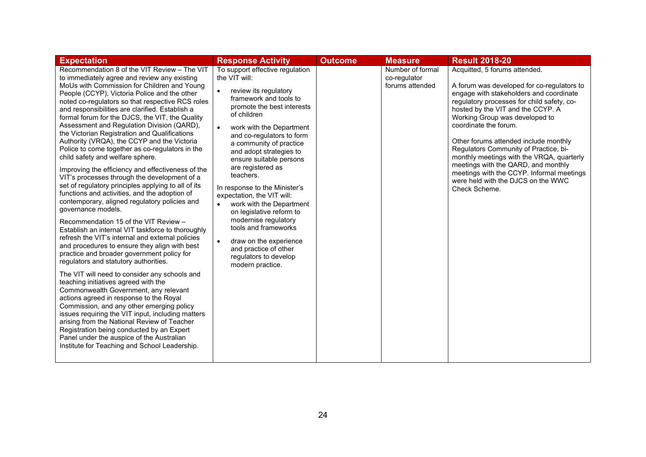| <b>Expectation</b>                                                                                                                                                                                                                                                                                                                                                                                                                                                                                                                                                                                                                                                                                                                                                                                                                                                                                                                                                                                                                                                                                                                                                                                                                                                                                                                                                                                                                                                                                                                                                                                                                                | <b>Response Activity</b>                                                                                                                                                                                                                                                                                                                                                                                                                                                                                                                                                                                                                   | <b>Outcome</b> | <b>Measure</b>                                      | <b>Result 2018-20</b>                                                                                                                                                                                                                                                                                                                                                                                                                                                                                                                          |
|---------------------------------------------------------------------------------------------------------------------------------------------------------------------------------------------------------------------------------------------------------------------------------------------------------------------------------------------------------------------------------------------------------------------------------------------------------------------------------------------------------------------------------------------------------------------------------------------------------------------------------------------------------------------------------------------------------------------------------------------------------------------------------------------------------------------------------------------------------------------------------------------------------------------------------------------------------------------------------------------------------------------------------------------------------------------------------------------------------------------------------------------------------------------------------------------------------------------------------------------------------------------------------------------------------------------------------------------------------------------------------------------------------------------------------------------------------------------------------------------------------------------------------------------------------------------------------------------------------------------------------------------------|--------------------------------------------------------------------------------------------------------------------------------------------------------------------------------------------------------------------------------------------------------------------------------------------------------------------------------------------------------------------------------------------------------------------------------------------------------------------------------------------------------------------------------------------------------------------------------------------------------------------------------------------|----------------|-----------------------------------------------------|------------------------------------------------------------------------------------------------------------------------------------------------------------------------------------------------------------------------------------------------------------------------------------------------------------------------------------------------------------------------------------------------------------------------------------------------------------------------------------------------------------------------------------------------|
| Recommendation 8 of the VIT Review - The VIT<br>to immediately agree and review any existing<br>MoUs with Commission for Children and Young<br>People (CCYP), Victoria Police and the other<br>noted co-regulators so that respective RCS roles<br>and responsibilities are clarified. Establish a<br>formal forum for the DJCS, the VIT, the Quality<br>Assessment and Regulation Division (QARD),<br>the Victorian Registration and Qualifications<br>Authority (VRQA), the CCYP and the Victoria<br>Police to come together as co-regulators in the<br>child safety and welfare sphere.<br>Improving the efficiency and effectiveness of the<br>VIT's processes through the development of a<br>set of regulatory principles applying to all of its<br>functions and activities, and the adoption of<br>contemporary, aligned regulatory policies and<br>governance models.<br>Recommendation 15 of the VIT Review -<br>Establish an internal VIT taskforce to thoroughly<br>refresh the VIT's internal and external policies<br>and procedures to ensure they align with best<br>practice and broader government policy for<br>regulators and statutory authorities.<br>The VIT will need to consider any schools and<br>teaching initiatives agreed with the<br>Commonwealth Government, any relevant<br>actions agreed in response to the Royal<br>Commission, and any other emerging policy<br>issues requiring the VIT input, including matters<br>arising from the National Review of Teacher<br>Registration being conducted by an Expert<br>Panel under the auspice of the Australian<br>Institute for Teaching and School Leadership. | To support effective regulation<br>the VIT will:<br>review its regulatory<br>$\bullet$<br>framework and tools to<br>promote the best interests<br>of children<br>work with the Department<br>$\bullet$<br>and co-regulators to form<br>a community of practice<br>and adopt strategies to<br>ensure suitable persons<br>are registered as<br>teachers.<br>In response to the Minister's<br>expectation, the VIT will:<br>work with the Department<br>$\bullet$<br>on legislative reform to<br>modernise regulatory<br>tools and frameworks<br>draw on the experience<br>and practice of other<br>regulators to develop<br>modern practice. |                | Number of formal<br>co-regulator<br>forums attended | Acquitted, 5 forums attended.<br>A forum was developed for co-regulators to<br>engage with stakeholders and coordinate<br>regulatory processes for child safety, co-<br>hosted by the VIT and the CCYP. A<br>Working Group was developed to<br>coordinate the forum.<br>Other forums attended include monthly<br>Regulators Community of Practice, bi-<br>monthly meetings with the VRQA, quarterly<br>meetings with the QARD, and monthly<br>meetings with the CCYP. Informal meetings<br>were held with the DJCS on the WWC<br>Check Scheme. |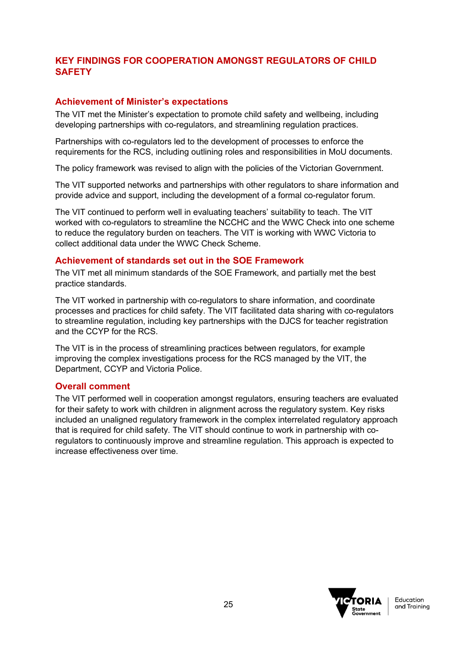# **KEY FINDINGS FOR COOPERATION AMONGST REGULATORS OF CHILD SAFETY**

## **Achievement of Minister's expectations**

The VIT met the Minister's expectation to promote child safety and wellbeing, including developing partnerships with co-regulators, and streamlining regulation practices.

Partnerships with co-regulators led to the development of processes to enforce the requirements for the RCS, including outlining roles and responsibilities in MoU documents.

The policy framework was revised to align with the policies of the Victorian Government.

The VIT supported networks and partnerships with other regulators to share information and provide advice and support, including the development of a formal co-regulator forum.

The VIT continued to perform well in evaluating teachers' suitability to teach. The VIT worked with co-regulators to streamline the NCCHC and the WWC Check into one scheme to reduce the regulatory burden on teachers. The VIT is working with WWC Victoria to collect additional data under the WWC Check Scheme.

#### **Achievement of standards set out in the SOE Framework**

The VIT met all minimum standards of the SOE Framework, and partially met the best practice standards.

The VIT worked in partnership with co-regulators to share information, and coordinate processes and practices for child safety. The VIT facilitated data sharing with co-regulators to streamline regulation, including key partnerships with the DJCS for teacher registration and the CCYP for the RCS.

The VIT is in the process of streamlining practices between regulators, for example improving the complex investigations process for the RCS managed by the VIT, the Department, CCYP and Victoria Police.

#### **Overall comment**

The VIT performed well in cooperation amongst regulators, ensuring teachers are evaluated for their safety to work with children in alignment across the regulatory system. Key risks included an unaligned regulatory framework in the complex interrelated regulatory approach that is required for child safety. The VIT should continue to work in partnership with coregulators to continuously improve and streamline regulation. This approach is expected to increase effectiveness over time.

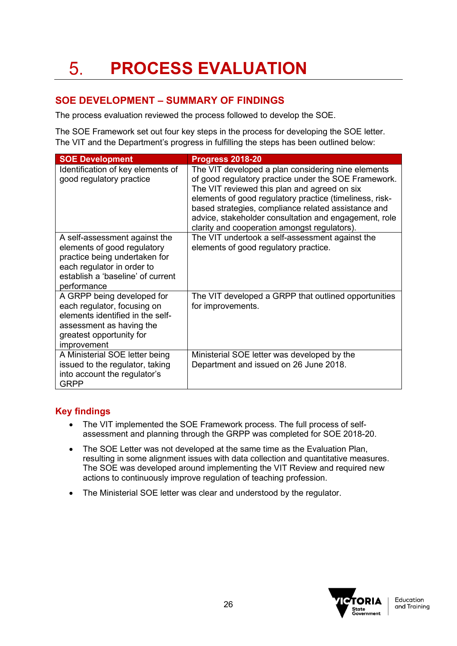# <span id="page-25-1"></span><span id="page-25-0"></span>**SOE DEVELOPMENT – SUMMARY OF FINDINGS**

The process evaluation reviewed the process followed to develop the SOE.

The SOE Framework set out four key steps in the process for developing the SOE letter. The VIT and the Department's progress in fulfilling the steps has been outlined below:

| <b>SOE Development</b>                                                                                                                                                          | <b>Progress 2018-20</b>                                                                                                                                                                                                                                                                                                                                                               |
|---------------------------------------------------------------------------------------------------------------------------------------------------------------------------------|---------------------------------------------------------------------------------------------------------------------------------------------------------------------------------------------------------------------------------------------------------------------------------------------------------------------------------------------------------------------------------------|
| Identification of key elements of<br>good regulatory practice                                                                                                                   | The VIT developed a plan considering nine elements<br>of good regulatory practice under the SOE Framework.<br>The VIT reviewed this plan and agreed on six<br>elements of good regulatory practice (timeliness, risk-<br>based strategies, compliance related assistance and<br>advice, stakeholder consultation and engagement, role<br>clarity and cooperation amongst regulators). |
| A self-assessment against the<br>elements of good regulatory<br>practice being undertaken for<br>each regulator in order to<br>establish a 'baseline' of current<br>performance | The VIT undertook a self-assessment against the<br>elements of good regulatory practice.                                                                                                                                                                                                                                                                                              |
| A GRPP being developed for<br>each regulator, focusing on<br>elements identified in the self-<br>assessment as having the<br>greatest opportunity for<br>improvement            | The VIT developed a GRPP that outlined opportunities<br>for improvements.                                                                                                                                                                                                                                                                                                             |
| A Ministerial SOE letter being<br>issued to the regulator, taking<br>into account the regulator's<br><b>GRPP</b>                                                                | Ministerial SOE letter was developed by the<br>Department and issued on 26 June 2018.                                                                                                                                                                                                                                                                                                 |

## **Key findings**

- The VIT implemented the SOE Framework process. The full process of selfassessment and planning through the GRPP was completed for SOE 2018-20.
- The SOE Letter was not developed at the same time as the Evaluation Plan, resulting in some alignment issues with data collection and quantitative measures. The SOE was developed around implementing the VIT Review and required new actions to continuously improve regulation of teaching profession.
- The Ministerial SOE letter was clear and understood by the regulator.

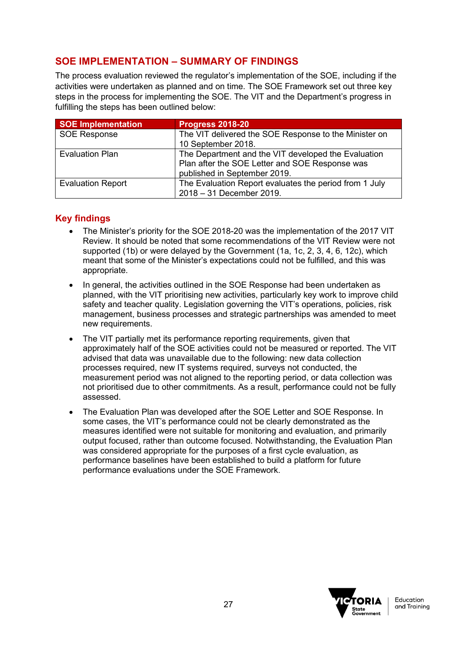# <span id="page-26-0"></span>**SOE IMPLEMENTATION – SUMMARY OF FINDINGS**

The process evaluation reviewed the regulator's implementation of the SOE, including if the activities were undertaken as planned and on time. The SOE Framework set out three key steps in the process for implementing the SOE. The VIT and the Department's progress in fulfilling the steps has been outlined below:

| <b>SOE Implementation</b> | <b>Progress 2018-20</b>                                |
|---------------------------|--------------------------------------------------------|
| <b>SOE Response</b>       | The VIT delivered the SOE Response to the Minister on  |
|                           | 10 September 2018.                                     |
| <b>Evaluation Plan</b>    | The Department and the VIT developed the Evaluation    |
|                           | Plan after the SOE Letter and SOE Response was         |
|                           | published in September 2019.                           |
| <b>Evaluation Report</b>  | The Evaluation Report evaluates the period from 1 July |
|                           | 2018 - 31 December 2019.                               |

## **Key findings**

- The Minister's priority for the SOE 2018-20 was the implementation of the 2017 VIT Review. It should be noted that some recommendations of the VIT Review were not supported (1b) or were delayed by the Government (1a, 1c, 2, 3, 4, 6, 12c), which meant that some of the Minister's expectations could not be fulfilled, and this was appropriate.
- In general, the activities outlined in the SOE Response had been undertaken as planned, with the VIT prioritising new activities, particularly key work to improve child safety and teacher quality. Legislation governing the VIT's operations, policies, risk management, business processes and strategic partnerships was amended to meet new requirements.
- The VIT partially met its performance reporting requirements, given that approximately half of the SOE activities could not be measured or reported. The VIT advised that data was unavailable due to the following: new data collection processes required, new IT systems required, surveys not conducted, the measurement period was not aligned to the reporting period, or data collection was not prioritised due to other commitments. As a result, performance could not be fully assessed.
- The Evaluation Plan was developed after the SOE Letter and SOE Response. In some cases, the VIT's performance could not be clearly demonstrated as the measures identified were not suitable for monitoring and evaluation, and primarily output focused, rather than outcome focused. Notwithstanding, the Evaluation Plan was considered appropriate for the purposes of a first cycle evaluation, as performance baselines have been established to build a platform for future performance evaluations under the SOE Framework.